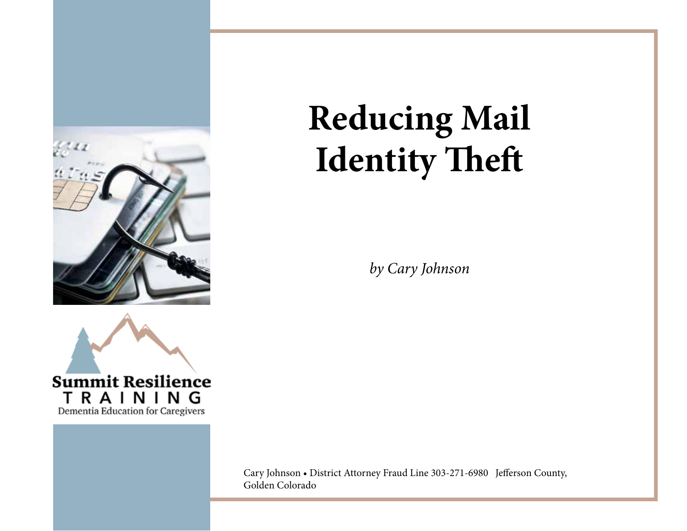



## **Reducing Mail Identity Theft**

*by Cary Johnson* 

Cary Johnson • District Attorney Fraud Line 303-271-6980 Jefferson County, Golden Colorado